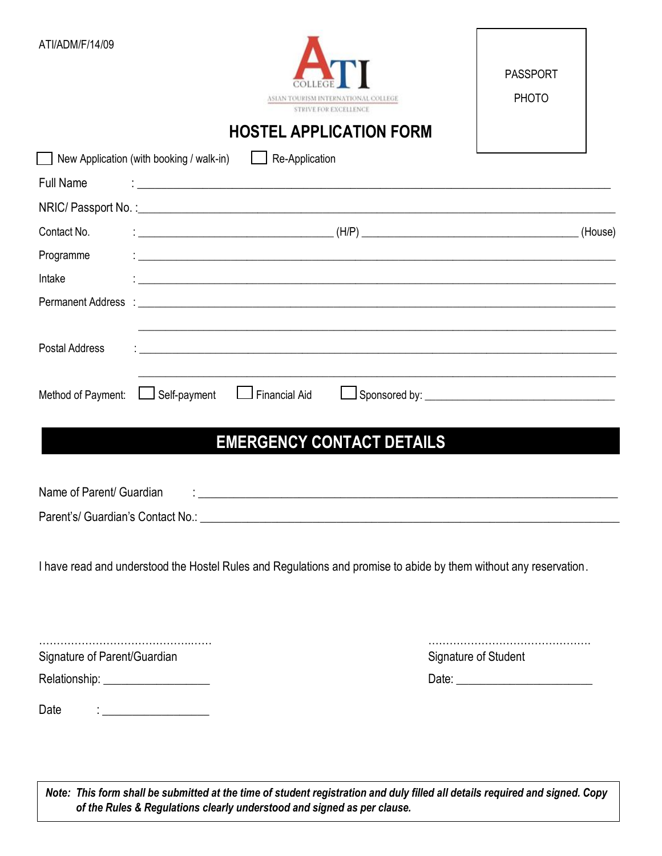| ATI/ADM/F/14/09                                                         | M INTERNATIONAL COLLEGE<br>STRIVE FOR EXCELLENCE<br><b>HOSTEL APPLICATION FORM</b>                                                                                                                                                                                                                                  | <b>PASSPORT</b><br><b>PHOTO</b> |
|-------------------------------------------------------------------------|---------------------------------------------------------------------------------------------------------------------------------------------------------------------------------------------------------------------------------------------------------------------------------------------------------------------|---------------------------------|
|                                                                         | New Application (with booking / walk-in)<br>$\Box$ Re-Application                                                                                                                                                                                                                                                   |                                 |
| <b>Full Name</b>                                                        | <u> 1989 - Johann Stoff, deutscher Stoff, der Stoff, der Stoff, der Stoff, der Stoff, der Stoff, der Stoff, der S</u>                                                                                                                                                                                               |                                 |
|                                                                         |                                                                                                                                                                                                                                                                                                                     |                                 |
| Contact No.                                                             | $\frac{1}{2}$ $\frac{1}{2}$ $\frac{1}{2}$ $\frac{1}{2}$ $\frac{1}{2}$ $\frac{1}{2}$ $\frac{1}{2}$ $\frac{1}{2}$ $\frac{1}{2}$ $\frac{1}{2}$ $\frac{1}{2}$ $\frac{1}{2}$ $\frac{1}{2}$ $\frac{1}{2}$ $\frac{1}{2}$ $\frac{1}{2}$ $\frac{1}{2}$ $\frac{1}{2}$ $\frac{1}{2}$ $\frac{1}{2}$ $\frac{1}{2}$ $\frac{1}{2}$ |                                 |
| Programme                                                               | <u> 1990 - Jan Barbara (j. 1980)</u>                                                                                                                                                                                                                                                                                |                                 |
| Intake                                                                  | <u> 1989 - Johann Stoff, deutscher Stoffen und der Stoffen und der Stoffen und der Stoffen und der Stoffen und der</u>                                                                                                                                                                                              |                                 |
|                                                                         |                                                                                                                                                                                                                                                                                                                     |                                 |
| <b>Postal Address</b><br>Method of Payment:<br>Name of Parent/ Guardian | <u> 1989 - Johann Stoff, Amerikaansk politiker († 1908)</u><br>Self-payment<br>Financial Aid<br><b>EMERGENCY CONTACT DETAILS</b>                                                                                                                                                                                    |                                 |
|                                                                         | Parent's/ Guardian's Contact No.: \\contact\\contact\\contact\\contact\\contact\\contact\\contact\\contact\\contact\\contact\\contact\\contact\\contact\\contact\\contact\\contact\\contact\\contact\\contact\\contact\\contac                                                                                      |                                 |
|                                                                         | I have read and understood the Hostel Rules and Regulations and promise to abide by them without any reservation.                                                                                                                                                                                                   |                                 |
|                                                                         |                                                                                                                                                                                                                                                                                                                     |                                 |
| Signature of Parent/Guardian<br>Relationship: _____________________     |                                                                                                                                                                                                                                                                                                                     | Signature of Student            |
| Date                                                                    | $\vdots$ . The contract of the contract of $\mathcal{L}_\mathcal{A}$                                                                                                                                                                                                                                                |                                 |

*Note: This form shall be submitted at the time of student registration and duly filled all details required and signed. Copy of the Rules & Regulations clearly understood and signed as per clause.*